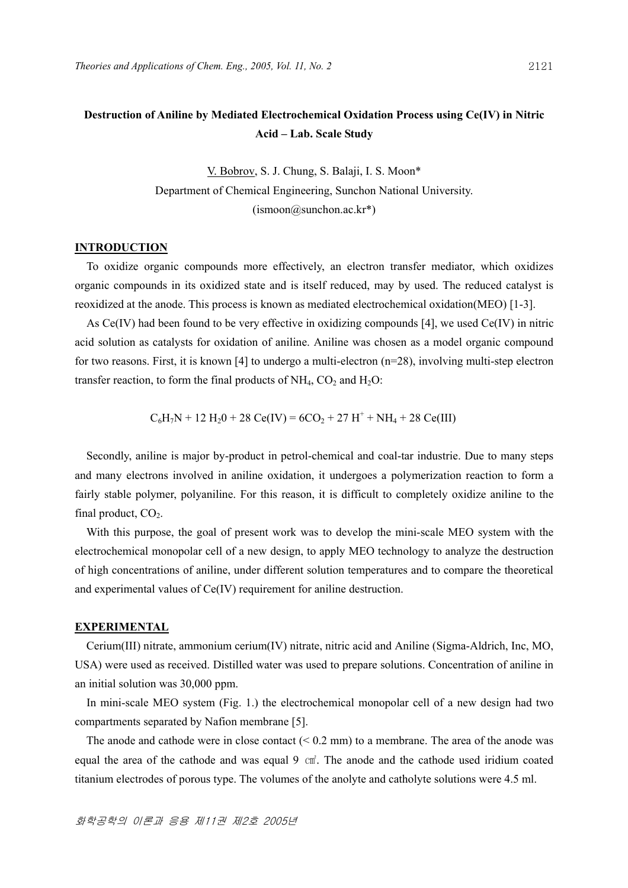# **Destruction of Aniline by Mediated Electrochemical Oxidation Process using Ce(IV) in Nitric Acid – Lab. Scale Study**

V. Bobrov, S. J. Chung, S. Balaji, I. S. Moon\* Department of Chemical Engineering, Sunchon National University.  $(ismoon@sunchon.ac kr*)$ 

#### **INTRODUCTION**

 To oxidize organic compounds more effectively, an electron transfer mediator, which oxidizes organic compounds in its oxidized state and is itself reduced, may by used. The reduced catalyst is reoxidized at the anode. This process is known as mediated electrochemical oxidation(MEO) [1-3].

 As Ce(IV) had been found to be very effective in oxidizing compounds [4], we used Ce(IV) in nitric acid solution as catalysts for oxidation of aniline. Aniline was chosen as a model organic compound for two reasons. First, it is known [4] to undergo a multi-electron (n=28), involving multi-step electron transfer reaction, to form the final products of  $NH_4$ ,  $CO_2$  and  $H_2O$ :

$$
C_6H_7N + 12 H_2O + 28 Ce(IV) = 6CO_2 + 27 H^+ + NH_4 + 28 Ce(III)
$$

Secondly, aniline is major by-product in petrol-chemical and coal-tar industrie. Due to many steps and many electrons involved in aniline oxidation, it undergoes a polymerization reaction to form a fairly stable polymer, polyaniline. For this reason, it is difficult to completely oxidize aniline to the final product,  $CO<sub>2</sub>$ .

With this purpose, the goal of present work was to develop the mini-scale MEO system with the electrochemical monopolar cell of a new design, to apply MEO technology to analyze the destruction of high concentrations of aniline, under different solution temperatures and to compare the theoretical and experimental values of Ce(IV) requirement for aniline destruction.

## **EXPERIMENTAL**

Cerium(III) nitrate, ammonium cerium(IV) nitrate, nitric acid and Aniline (Sigma-Aldrich, Inc, MO, USA) were used as received. Distilled water was used to prepare solutions. Concentration of aniline in an initial solution was 30,000 ppm.

 In mini-scale MEO system (Fig. 1.) the electrochemical monopolar cell of a new design had two compartments separated by Nafion membrane [5].

The anode and cathode were in close contact  $(< 0.2$  mm) to a membrane. The area of the anode was equal the area of the cathode and was equal 9  $\text{cm}^2$ . The anode and the cathode used iridium coated titanium electrodes of porous type. The volumes of the anolyte and catholyte solutions were 4.5 ml.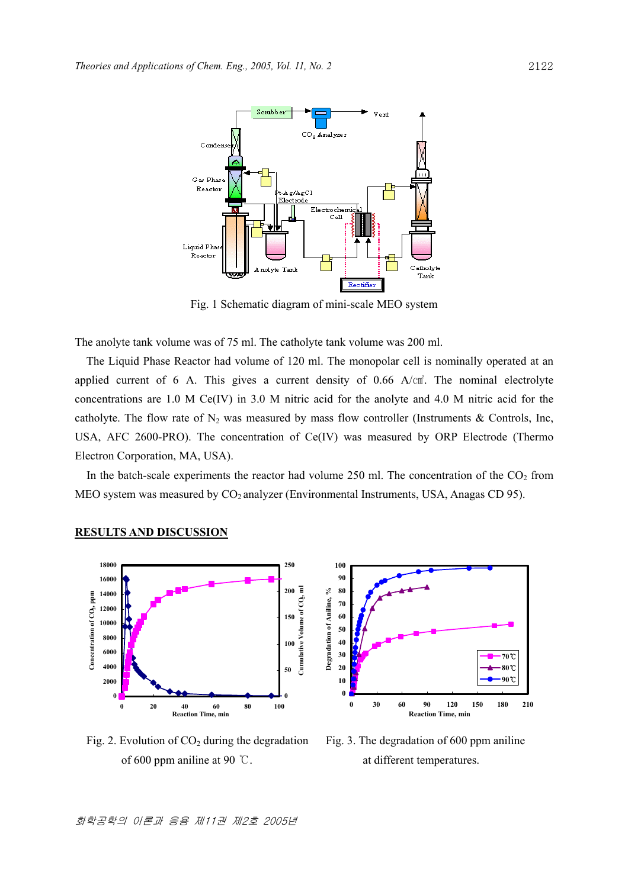

Fig. 1 Schematic diagram of mini-scale MEO system

The anolyte tank volume was of 75 ml. The catholyte tank volume was 200 ml.

The Liquid Phase Reactor had volume of 120 ml. The monopolar cell is nominally operated at an applied current of 6 A. This gives a current density of  $0.66$  A/ $cm<sup>2</sup>$ . The nominal electrolyte concentrations are 1.0 M Ce(IV) in 3.0 M nitric acid for the anolyte and 4.0 M nitric acid for the catholyte. The flow rate of  $N_2$  was measured by mass flow controller (Instruments & Controls, Inc, USA, AFC 2600-PRO). The concentration of Ce(IV) was measured by ORP Electrode (Thermo Electron Corporation, MA, USA).

In the batch-scale experiments the reactor had volume 250 ml. The concentration of the  $CO<sub>2</sub>$  from MEO system was measured by  $CO_2$  analyzer (Environmental Instruments, USA, Anagas CD 95).



#### **RESULTS AND DISCUSSION**

Fig. 2. Evolution of  $CO<sub>2</sub>$  during the degradation Fig. 3. The degradation of 600 ppm aniline of 600 ppm aniline at 90  $\degree$ C. at different temperatures.

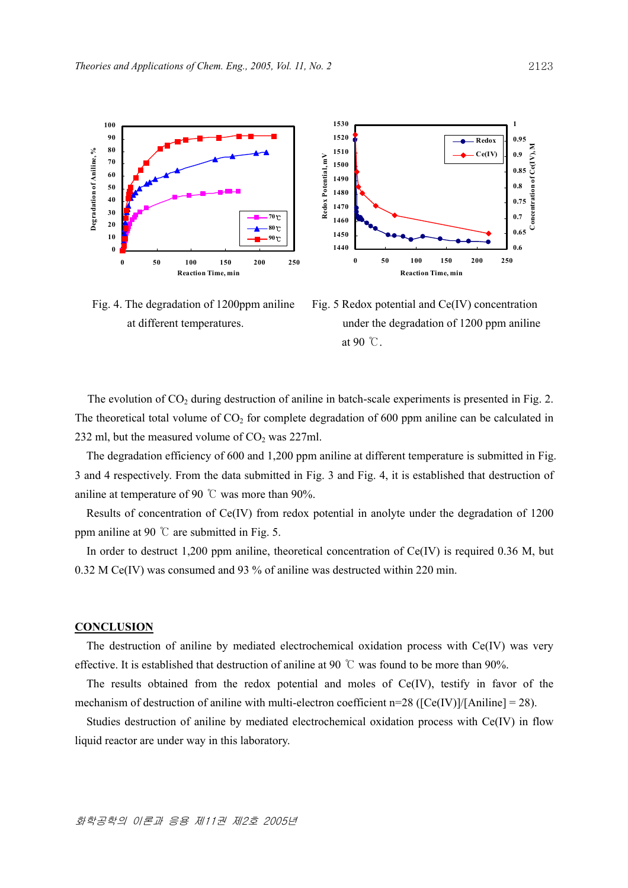

Fig. 4. The degradation of 1200ppm aniline Fig. 5 Redox potential and Ce(IV) concentration



 at different temperatures. under the degradation of 1200 ppm aniline at 90  $\degree$ C.

The evolution of  $CO<sub>2</sub>$  during destruction of aniline in batch-scale experiments is presented in Fig. 2. The theoretical total volume of  $CO<sub>2</sub>$  for complete degradation of 600 ppm aniline can be calculated in 232 ml, but the measured volume of  $CO<sub>2</sub>$  was 227ml.

**1530**

The degradation efficiency of 600 and 1,200 ppm aniline at different temperature is submitted in Fig. 3 and 4 respectively. From the data submitted in Fig. 3 and Fig. 4, it is established that destruction of aniline at temperature of 90 ℃ was more than 90%.

Results of concentration of Ce(IV) from redox potential in anolyte under the degradation of 1200 ppm aniline at 90  $\degree$  are submitted in Fig. 5.

 In order to destruct 1,200 ppm aniline, theoretical concentration of Ce(IV) is required 0.36 M, but 0.32 M Ce(IV) was consumed and 93 % of aniline was destructed within 220 min.

## **CONCLUSION**

 The destruction of aniline by mediated electrochemical oxidation process with Ce(IV) was very effective. It is established that destruction of aniline at 90 °C was found to be more than 90%.

 The results obtained from the redox potential and moles of Ce(IV), testify in favor of the mechanism of destruction of aniline with multi-electron coefficient n=28 ( $[Ce(IV)]/[Aniline] = 28$ ).

 Studies destruction of aniline by mediated electrochemical oxidation process with Ce(IV) in flow liquid reactor are under way in this laboratory.

**1**